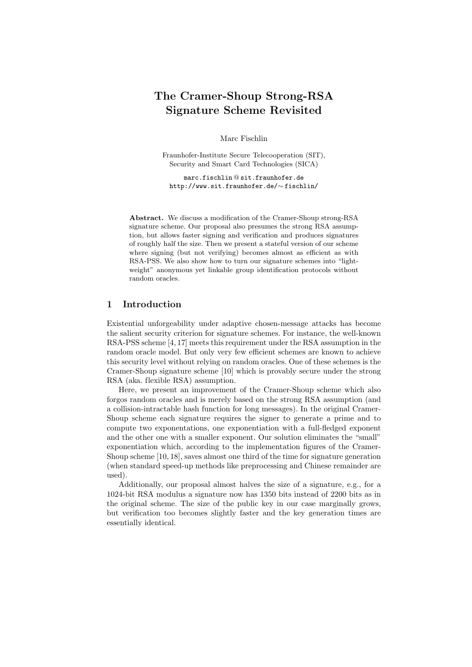# The Cramer-Shoup Strong-RSA Signature Scheme Revisited

Marc Fischlin

Fraunhofer-Institute Secure Telecooperation (SIT), Security and Smart Card Technologies (SICA)

marc.fischlin @ sit.fraunhofer.de http://www.sit.fraunhofer.de/∼ fischlin/

Abstract. We discuss a modification of the Cramer-Shoup strong-RSA signature scheme. Our proposal also presumes the strong RSA assumption, but allows faster signing and verification and produces signatures of roughly half the size. Then we present a stateful version of our scheme where signing (but not verifying) becomes almost as efficient as with RSA-PSS. We also show how to turn our signature schemes into "lightweight" anonymous yet linkable group identification protocols without random oracles.

### 1 Introduction

Existential unforgeability under adaptive chosen-message attacks has become the salient security criterion for signature schemes. For instance, the well-known RSA-PSS scheme [4, 17] meets this requirement under the RSA assumption in the random oracle model. But only very few efficient schemes are known to achieve this security level without relying on random oracles. One of these schemes is the Cramer-Shoup signature scheme [10] which is provably secure under the strong RSA (aka. flexible RSA) assumption.

Here, we present an improvement of the Cramer-Shoup scheme which also forgos random oracles and is merely based on the strong RSA assumption (and a collision-intractable hash function for long messages). In the original Cramer-Shoup scheme each signature requires the signer to generate a prime and to compute two exponentations, one exponentiation with a full-fledged exponent and the other one with a smaller exponent. Our solution eliminates the "small" exponentiation which, according to the implementation figures of the Cramer-Shoup scheme [10, 18], saves almost one third of the time for signature generation (when standard speed-up methods like preprocessing and Chinese remainder are used).

Additionally, our proposal almost halves the size of a signature, e.g., for a 1024-bit RSA modulus a signature now has 1350 bits instead of 2200 bits as in the original scheme. The size of the public key in our case marginally grows, but verification too becomes slightly faster and the key generation times are essentially identical.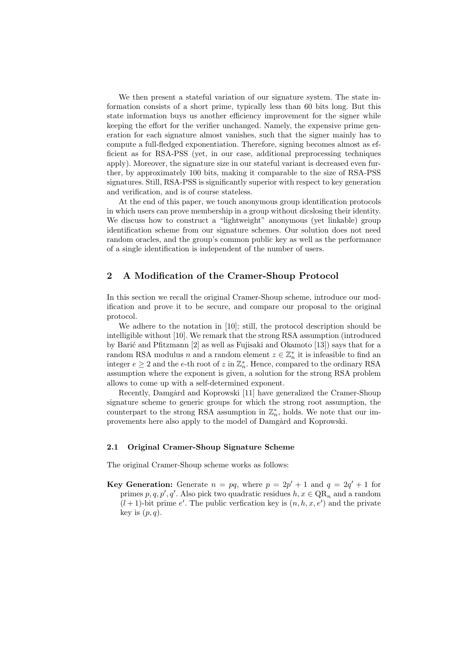We then present a stateful variation of our signature system. The state information consists of a short prime, typically less than 60 bits long. But this state information buys us another efficiency improvement for the signer while keeping the effort for the verifier unchanged. Namely, the expensive prime generation for each signature almost vanishes, such that the signer mainly has to compute a full-fledged exponentiation. Therefore, signing becomes almost as efficient as for RSA-PSS (yet, in our case, additional preprocessing techniques apply). Moreover, the signature size in our stateful variant is decreased even further, by approximately 100 bits, making it comparable to the size of RSA-PSS signatures. Still, RSA-PSS is significantly superior with respect to key generation and verification, and is of course stateless.

At the end of this paper, we touch anonymous group identification protocols in which users can prove membership in a group without dicslosing their identity. We discuss how to construct a "lightweight" anonymous (yet linkable) group identification scheme from our signature schemes. Our solution does not need random oracles, and the group's common public key as well as the performance of a single identification is independent of the number of users.

## 2 A Modification of the Cramer-Shoup Protocol

In this section we recall the original Cramer-Shoup scheme, introduce our modification and prove it to be secure, and compare our proposal to the original protocol.

We adhere to the notation in [10]; still, the protocol description should be intelligible without [10]. We remark that the strong RSA assumption (introduced by Barić and Pfitzmann [2] as well as Fujisaki and Okamoto [13]) says that for a random RSA modulus n and a random element  $z \in \mathbb{Z}_n^*$  it is infeasible to find an integer  $e \geq 2$  and the e-th root of z in  $\mathbb{Z}_n^*$ . Hence, compared to the ordinary RSA assumption where the exponent is given, a solution for the strong RSA problem allows to come up with a self-determined exponent.

Recently, Damgård and Koprowski [11] have generalized the Cramer-Shoup signature scheme to generic groups for which the strong root assumption, the counterpart to the strong RSA assumption in  $\mathbb{Z}_n^*$ , holds. We note that our improvements here also apply to the model of Damgard and Koprowski.

#### 2.1 Original Cramer-Shoup Signature Scheme

The original Cramer-Shoup scheme works as follows:

**Key Generation:** Generate  $n = pq$ , where  $p = 2p' + 1$  and  $q = 2q' + 1$  for primes  $p, q, p', q'$ . Also pick two quadratic residues  $h, x \in QR_n$  and a random  $(l+1)$ -bit prime e'. The public verfication key is  $(n, h, x, e')$  and the private key is  $(p, q)$ .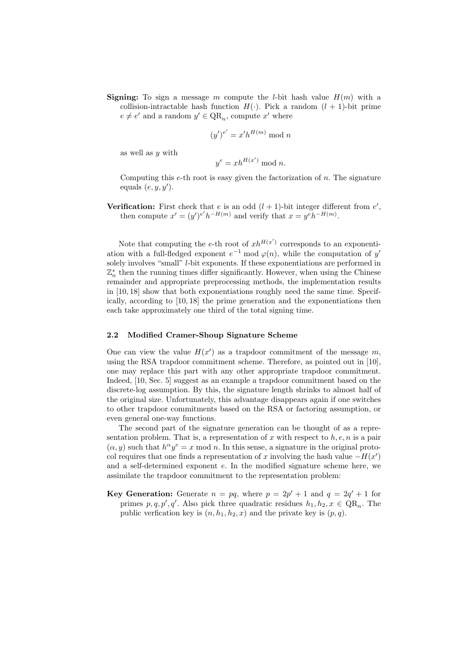**Signing:** To sign a message m compute the *l*-bit hash value  $H(m)$  with a collision-intractable hash function  $H(.)$ . Pick a random  $(l + 1)$ -bit prime  $e \neq e'$  and a random  $y' \in QR_n$ , compute x' where

$$
(y')^{e'} = x'h^{H(m)} \bmod n
$$

as well as y with

$$
y^e = xh^{H(x')} \bmod n.
$$

Computing this  $e$ -th root is easy given the factorization of  $n$ . The signature equals  $(e, y, y')$ .

Verification: First check that e is an odd  $(l + 1)$ -bit integer different from  $e'$ , then compute  $x' = (y')^{e'} h^{-H(m)}$  and verify that  $x = y^e h^{-H(m)}$ .

Note that computing the e-th root of  $x h^{H(x')}$  corresponds to an exponentiation with a full-fledged exponent  $e^{-1}$  mod  $\varphi(n)$ , while the computation of y' solely involves "small" *l*-bit exponents. If these exponentiations are performed in  $\mathbb{Z}_n^*$  then the running times differ significantly. However, when using the Chinese remainder and appropriate preprocessing methods, the implementation results in [10, 18] show that both exponentiations roughly need the same time. Specifically, according to [10, 18] the prime generation and the exponentiations then each take approximately one third of the total signing time.

#### 2.2 Modified Cramer-Shoup Signature Scheme

One can view the value  $H(x')$  as a trapdoor commitment of the message m, using the RSA trapdoor commitment scheme. Therefore, as pointed out in [10], one may replace this part with any other appropriate trapdoor commitment. Indeed, [10, Sec. 5] suggest as an example a trapdoor commitment based on the discrete-log assumption. By this, the signature length shrinks to almost half of the original size. Unfortunately, this advantage disappears again if one switches to other trapdoor commitments based on the RSA or factoring assumption, or even general one-way functions.

The second part of the signature generation can be thought of as a representation problem. That is, a representation of x with respect to  $h, e, n$  is a pair  $(\alpha, y)$  such that  $h^{\alpha} y^e = x \mod n$ . In this sense, a signature in the original protocol requires that one finds a representation of x involving the hash value  $-H(x')$ and a self-determined exponent e. In the modified signature scheme here, we assimilate the trapdoor commitment to the representation problem:

**Key Generation:** Generate  $n = pq$ , where  $p = 2p' + 1$  and  $q = 2q' + 1$  for primes  $p, q, p', q'$ . Also pick three quadratic residues  $h_1, h_2, x \in QR_n$ . The public verfication key is  $(n, h_1, h_2, x)$  and the private key is  $(p, q)$ .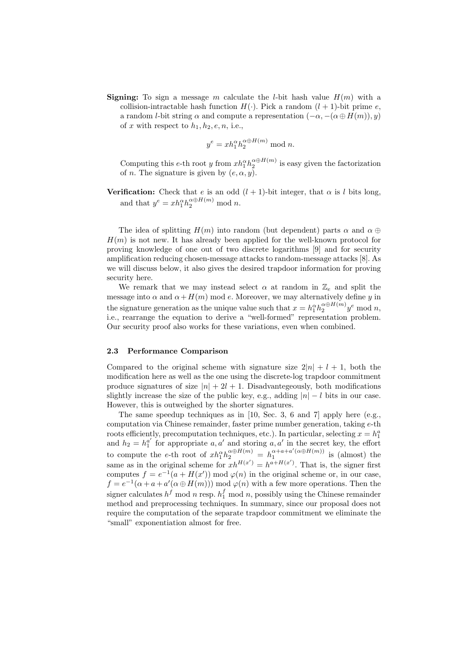**Signing:** To sign a message m calculate the *l*-bit hash value  $H(m)$  with a collision-intractable hash function  $H(\cdot)$ . Pick a random  $(l + 1)$ -bit prime e, a random *l*-bit string  $\alpha$  and compute a representation  $(-\alpha, -(\alpha \oplus H(m)), y)$ of x with respect to  $h_1, h_2, e, n$ , i.e.,

$$
y^e = x h_1^{\alpha} h_2^{\alpha \oplus H(m)} \bmod n.
$$

Computing this e-th root y from  $x h_1^{\alpha} h_2^{\alpha \oplus H(m)}$  is easy given the factorization of *n*. The signature is given by  $(e, \alpha, y)$ .

**Verification:** Check that e is an odd  $(l + 1)$ -bit integer, that  $\alpha$  is l bits long, and that  $y^e = x h_1^{\alpha} h_2^{\alpha \oplus H(m)} \mod n$ .

The idea of splitting  $H(m)$  into random (but dependent) parts  $\alpha$  and  $\alpha \oplus$  $H(m)$  is not new. It has already been applied for the well-known protocol for proving knowledge of one out of two discrete logarithms [9] and for security amplification reducing chosen-message attacks to random-message attacks [8]. As we will discuss below, it also gives the desired trapdoor information for proving security here.

We remark that we may instead select  $\alpha$  at random in  $\mathbb{Z}_e$  and split the message into  $\alpha$  and  $\alpha + H(m)$  mod e. Moreover, we may alternatively define y in the signature generation as the unique value such that  $x = h_1^{\alpha} h_2^{\alpha \oplus H(m)} y^e \mod n$ , i.e., rearrange the equation to derive a "well-formed" representation problem. Our security proof also works for these variations, even when combined.

#### 2.3 Performance Comparison

Compared to the original scheme with signature size  $2|n| + l + 1$ , both the modification here as well as the one using the discrete-log trapdoor commitment produce signatures of size  $|n| + 2l + 1$ . Disadvantegeously, both modifications slightly increase the size of the public key, e.g., adding  $|n| - l$  bits in our case. However, this is outweighed by the shorter signatures.

The same speedup techniques as in [10, Sec. 3, 6 and 7] apply here (e.g., computation via Chinese remainder, faster prime number generation, taking e-th roots efficiently, precomputation techniques, etc.). In particular, selecting  $x = h_1^a$ and  $h_2 = h_1^{a'}$  for appropriate a, a' and storing a, a' in the secret key, the effort to compute the e-th root of  $x h_1^{\alpha} h_2^{\alpha \oplus H(m)} = h_1^{\alpha + a + a'(\alpha \oplus H(m))}$  is (almost) the same as in the original scheme for  $xh^{H(x')} = h^{a+H(x')}$ . That is, the signer first computes  $f = e^{-1}(a + H(x')) \mod \varphi(n)$  in the original scheme or, in our case,  $f = e^{-1}(\alpha + a + a'(\alpha \oplus H(m))) \bmod \varphi(n)$  with a few more operations. Then the signer calculates  $h^f$  mod n resp.  $h_1^f$  mod n, possibly using the Chinese remainder method and preprocessing techniques. In summary, since our proposal does not require the computation of the separate trapdoor commitment we eliminate the "small" exponentiation almost for free.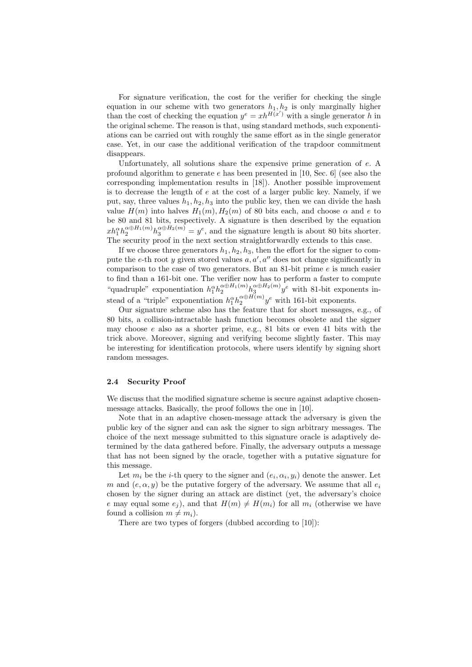For signature verification, the cost for the verifier for checking the single equation in our scheme with two generators  $h_1, h_2$  is only marginally higher than the cost of checking the equation  $y^e = xh^{H(x')}$  with a single generator h in the original scheme. The reason is that, using standard methods, such exponentiations can be carried out with roughly the same effort as in the single generator case. Yet, in our case the additional verification of the trapdoor commitment disappears.

Unfortunately, all solutions share the expensive prime generation of e. A profound algorithm to generate  $e$  has been presented in [10, Sec. 6] (see also the corresponding implementation results in [18]). Another possible improvement is to decrease the length of  $e$  at the cost of a larger public key. Namely, if we put, say, three values  $h_1, h_2, h_3$  into the public key, then we can divide the hash value  $H(m)$  into halves  $H_1(m)$ ,  $H_2(m)$  of 80 bits each, and choose  $\alpha$  and  $e$  to be 80 and 81 bits, respectively. A signature is then described by the equation  $xh_1^{\alpha}h_2^{\alpha\oplus H_1(m)}h_3^{\alpha\oplus H_2(m)}=y^e$ , and the signature length is about 80 bits shorter. The security proof in the next section straightforwardly extends to this case.

If we choose three generators  $h_1, h_2, h_3$ , then the effort for the signer to compute the e-th root y given stored values  $a, a', a''$  does not change significantly in comparison to the case of two generators. But an 81-bit prime  $e$  is much easier to find than a 161-bit one. The verifier now has to perform a faster to compute "quadruple" exponentiation  $h_1^{\alpha} h_2^{\alpha \oplus H_1(m)} h_3^{\alpha \oplus H_2(m)} y^e$  with 81-bit exponents instead of a "triple" exponentiation  $h_1^{\alpha} h_2^{\alpha \oplus H(m)} y^e$  with 161-bit exponents.

Our signature scheme also has the feature that for short messages, e.g., of 80 bits, a collision-intractable hash function becomes obsolete and the signer may choose  $e$  also as a shorter prime, e.g., 81 bits or even 41 bits with the trick above. Moreover, signing and verifying become slightly faster. This may be interesting for identification protocols, where users identify by signing short random messages.

## 2.4 Security Proof

We discuss that the modified signature scheme is secure against adaptive chosenmessage attacks. Basically, the proof follows the one in [10].

Note that in an adaptive chosen-message attack the adversary is given the public key of the signer and can ask the signer to sign arbitrary messages. The choice of the next message submitted to this signature oracle is adaptively determined by the data gathered before. Finally, the adversary outputs a message that has not been signed by the oracle, together with a putative signature for this message.

Let  $m_i$  be the *i*-th query to the signer and  $(e_i, \alpha_i, y_i)$  denote the answer. Let m and  $(e, \alpha, y)$  be the putative forgery of the adversary. We assume that all  $e_i$ chosen by the signer during an attack are distinct (yet, the adversary's choice e may equal some  $e_j$ ), and that  $H(m) \neq H(m_i)$  for all  $m_i$  (otherwise we have found a collision  $m \neq m_i$ ).

There are two types of forgers (dubbed according to [10]):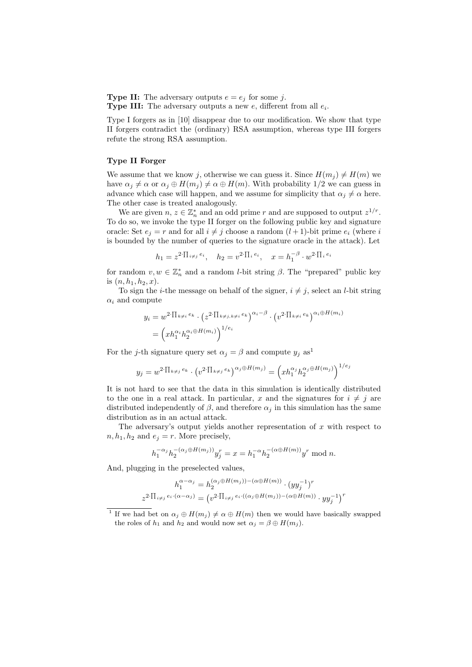**Type II:** The adversary outputs  $e = e_j$  for some j. **Type III:** The adversary outputs a new  $e$ , different from all  $e_i$ .

Type I forgers as in [10] disappear due to our modification. We show that type II forgers contradict the (ordinary) RSA assumption, whereas type III forgers refute the strong RSA assumption.

#### Type II Forger

We assume that we know j, otherwise we can guess it. Since  $H(m_i) \neq H(m)$  we have  $\alpha_j \neq \alpha$  or  $\alpha_j \oplus H(m_j) \neq \alpha \oplus H(m)$ . With probability 1/2 we can guess in advance which case will happen, and we assume for simplicity that  $\alpha_j \neq \alpha$  here. The other case is treated analogously.

We are given  $n, z \in \mathbb{Z}_n^*$  and an odd prime r and are supposed to output  $z^{1/r}$ . To do so, we invoke the type II forger on the following public key and signature oracle: Set  $e_i = r$  and for all  $i \neq j$  choose a random  $(l + 1)$ -bit prime  $e_i$  (where i is bounded by the number of queries to the signature oracle in the attack). Let

$$
h_1 = z^{2 \cdot \prod_{i \neq j} e_i}, \quad h_2 = v^{2 \cdot \prod_i e_i}, \quad x = h_1^{-\beta} \cdot w^{2 \cdot \prod_i e_i}
$$

for random  $v, w \in \mathbb{Z}_n^*$  and a random *l*-bit string  $\beta$ . The "prepared" public key is  $(n, h_1, h_2, x)$ .

To sign the *i*-the message on behalf of the signer,  $i \neq j$ , select an *l*-bit string  $\alpha_i$  and compute

$$
y_i = w^{2 \cdot \prod_{k \neq i} e_k} \cdot (z^{2 \cdot \prod_{k \neq j, k \neq i} e_k})^{\alpha_i - \beta} \cdot (v^{2 \cdot \prod_{k \neq i} e_k})^{\alpha_i \oplus H(m_i)}
$$
  
= 
$$
(x h_1^{\alpha_i} h_2^{\alpha_i \oplus H(m_i)})^{1/e_i}
$$

For the j-th signature query set  $\alpha_j = \beta$  and compute  $y_j$  as<sup>1</sup>

$$
y_j = w^{2 \cdot \prod_{k \neq j} e_k} \cdot \left( v^{2 \cdot \prod_{k \neq j} e_k} \right)^{\alpha_j \oplus H(m_j)} = \left( x h_1^{\alpha_j} h_2^{\alpha_j \oplus H(m_j)} \right)^{1/e_j}
$$

It is not hard to see that the data in this simulation is identically distributed to the one in a real attack. In particular, x and the signatures for  $i \neq j$  are distributed independently of  $\beta$ , and therefore  $\alpha_j$  in this simulation has the same distribution as in an actual attack.

The adversary's output yields another representation of  $x$  with respect to  $n, h_1, h_2$  and  $e_j = r$ . More precisely,

$$
h_1^{-\alpha_j} h_2^{-(\alpha_j \oplus H(m_j))} y_j^r = x = h_1^{-\alpha} h_2^{-(\alpha \oplus H(m))} y^r \text{ mod } n.
$$

And, plugging in the preselected values,

$$
h_1^{\alpha-\alpha_j} = h_2^{(\alpha_j \oplus H(m_j)) - (\alpha \oplus H(m))} \cdot (yy_j^{-1})^r
$$
  

$$
z^{2 \cdot \prod_{i \neq j} e_i \cdot (\alpha-\alpha_j)} = (v^{2 \cdot \prod_{i \neq j} e_i \cdot ((\alpha_j \oplus H(m_j)) - (\alpha \oplus H(m))} \cdot yy_j^{-1})^r
$$

<sup>&</sup>lt;sup>1</sup> If we had bet on  $\alpha_j \oplus H(m_j) \neq \alpha \oplus H(m)$  then we would have basically swapped the roles of  $h_1$  and  $h_2$  and would now set  $\alpha_j = \beta \oplus H(m_j)$ .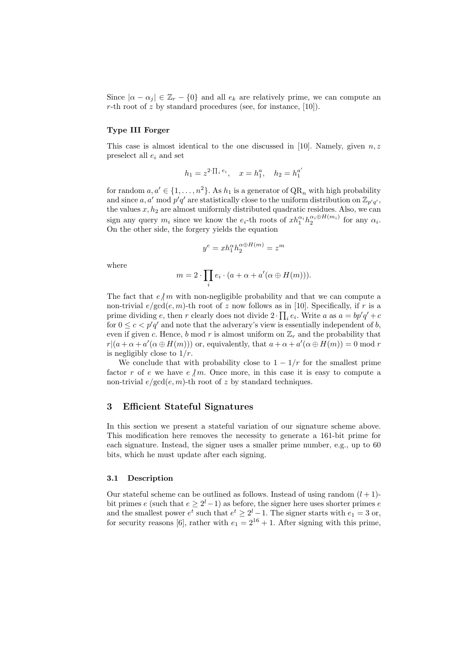Since  $|\alpha - \alpha_j| \in \mathbb{Z}_r - \{0\}$  and all  $e_k$  are relatively prime, we can compute an r-th root of z by standard procedures (see, for instance,  $[10]$ ).

#### Type III Forger

This case is almost identical to the one discussed in [10]. Namely, given  $n, z$ preselect all  $e_i$  and set

$$
h_1 = z^{2 \cdot \prod_i e_i}, \quad x = h_1^a, \quad h_2 = h_1^{a'}
$$

for random  $a, a' \in \{1, \ldots, n^2\}$ . As  $h_1$  is a generator of  $QR_n$  with high probability and since a, a' mod  $p'q'$  are statistically close to the uniform distribution on  $\mathbb{Z}_{p'q'}$ , the values  $x, h_2$  are almost uniformly distributed quadratic residues. Also, we can sign any query  $m_i$  since we know the  $e_i$ -th roots of  $x h_1^{\alpha_i} h_2^{\alpha_i \oplus H(m_i)}$  for any  $\alpha_i$ . On the other side, the forgery yields the equation

$$
y^e = x h_1^{\alpha} h_2^{\alpha \oplus H(m)} = z^m
$$

where

$$
m = 2 \cdot \prod_i e_i \cdot (a + \alpha + a'(\alpha \oplus H(m))).
$$

The fact that  $e/m$  with non-negligible probability and that we can compute a non-trivial  $e/\text{gcd}(e, m)$ -th root of z now follows as in [10]. Specifically, if r is a prime dividing e, then r clearly does not divide  $2 \cdot \prod_i e_i$ . Write a as  $a = bp'q' + c$ for  $0 \leq c < p'q'$  and note that the adverary's view is essentially independent of b, even if given c. Hence, b mod r is almost uniform on  $\mathbb{Z}_r$  and the probability that  $r|(a+\alpha+a'(\alpha\oplus H(m)))$  or, equivalently, that  $a+\alpha+a'(\alpha\oplus H(m))=0$  mod r is negligibly close to  $1/r$ .

We conclude that with probability close to  $1 - 1/r$  for the smallest prime factor r of e we have  $e/m$ . Once more, in this case it is easy to compute a non-trivial  $e/\text{gcd}(e, m)$ -th root of z by standard techniques.

## 3 Efficient Stateful Signatures

In this section we present a stateful variation of our signature scheme above. This modification here removes the necessity to generate a 161-bit prime for each signature. Instead, the signer uses a smaller prime number, e.g., up to 60 bits, which he must update after each signing.

#### 3.1 Description

Our stateful scheme can be outlined as follows. Instead of using random  $(l + 1)$ bit primes e (such that  $e \geq 2^l-1$ ) as before, the signer here uses shorter primes e and the smallest power  $e^t$  such that  $e^t \geq 2^l - 1$ . The signer starts with  $e_1 = 3$  or, for security reasons [6], rather with  $e_1 = 2^{16} + 1$ . After signing with this prime,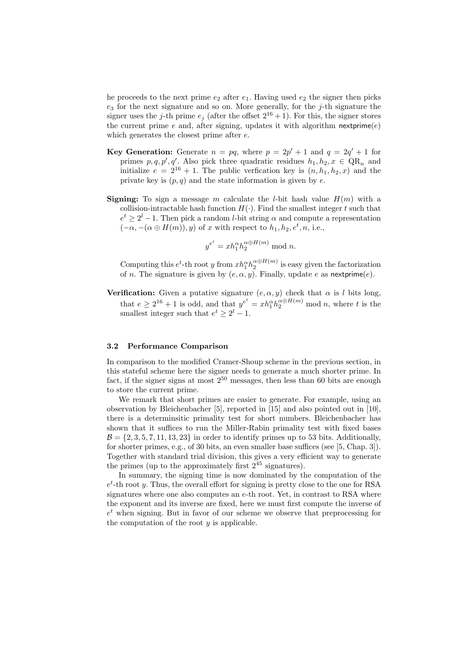he proceeds to the next prime  $e_2$  after  $e_1$ . Having used  $e_2$  the signer then picks  $e_3$  for the next signature and so on. More generally, for the j-th signature the signer uses the j-th prime  $e_j$  (after the offset  $2^{16} + 1$ ). For this, the signer stores the current prime  $e$  and, after signing, updates it with algorithm nextprime $(e)$ which generates the closest prime after e.

- **Key Generation:** Generate  $n = pq$ , where  $p = 2p' + 1$  and  $q = 2q' + 1$  for primes  $p, q, p', q'$ . Also pick three quadratic residues  $h_1, h_2, x \in QR_n$  and initialize  $e = 2^{16} + 1$ . The public verfication key is  $(n, h_1, h_2, x)$  and the private key is  $(p, q)$  and the state information is given by e.
- **Signing:** To sign a message m calculate the *l*-bit hash value  $H(m)$  with a collision-intractable hash function  $H(\cdot)$ . Find the smallest integer t such that  $e^t \geq 2^l - 1$ . Then pick a random *l*-bit string  $\alpha$  and compute a representation  $(-\alpha, -(\alpha \oplus H(m)), y)$  of x with respect to  $h_1, h_2, e^t, n$ , i.e.,

$$
y^{e^t} = x h_1^{\alpha} h_2^{\alpha \oplus H(m)} \bmod n.
$$

Computing this  $e^t$ -th root y from  $x h_1^{\alpha} h_2^{\alpha \oplus H(m)}$  is easy given the factorization of n. The signature is given by  $(e, \alpha, y)$ . Finally, update e as nextprime $(e)$ .

**Verification:** Given a putative signature  $(e, \alpha, y)$  check that  $\alpha$  is l bits long, that  $e \ge 2^{16} + 1$  is odd, and that  $y^{e^t} = x h_1^{\alpha} h_2^{\alpha \oplus H(m)}$  mod n, where t is the smallest integer such that  $e^t \geq 2^l - 1$ .

#### 3.2 Performance Comparison

In comparison to the modified Cramer-Shoup scheme in the previous section, in this stateful scheme here the signer needs to generate a much shorter prime. In fact, if the signer signs at most  $2^{50}$  messages, then less than 60 bits are enough to store the current prime.

We remark that short primes are easier to generate. For example, using an observation by Bleichenbacher [5], reported in [15] and also pointed out in [10], there is a determinsitic primality test for short numbers. Bleichenbacher has shown that it suffices to run the Miller-Rabin primality test with fixed bases  $\mathcal{B} = \{2, 3, 5, 7, 11, 13, 23\}$  in order to identify primes up to 53 bits. Additionally, for shorter primes, e.g., of 30 bits, an even smaller base suffices (see [5, Chap. 3]). Together with standard trial division, this gives a very efficient way to generate the primes (up to the approximately first  $2^{45}$  signatures).

In summary, the signing time is now dominated by the computation of the  $e^t$ -th root y. Thus, the overall effort for signing is pretty close to the one for RSA signatures where one also computes an e-th root. Yet, in contrast to RSA where the exponent and its inverse are fixed, here we must first compute the inverse of  $e^t$  when signing. But in favor of our scheme we observe that preprocessing for the computation of the root  $y$  is applicable.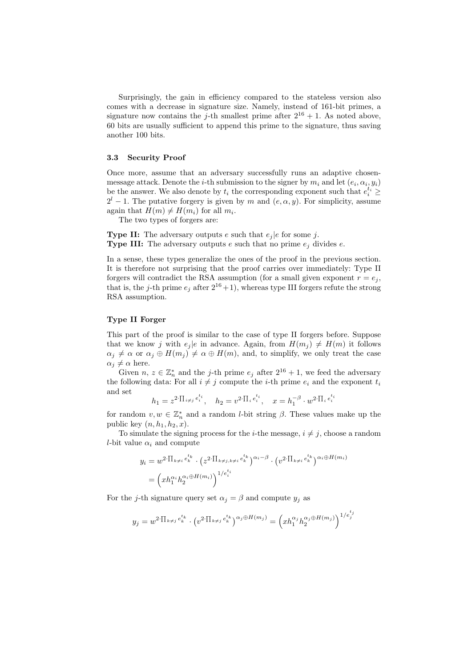Surprisingly, the gain in efficiency compared to the stateless version also comes with a decrease in signature size. Namely, instead of 161-bit primes, a signature now contains the j-th smallest prime after  $2^{16} + 1$ . As noted above, 60 bits are usually sufficient to append this prime to the signature, thus saving another 100 bits.

#### 3.3 Security Proof

Once more, assume that an adversary successfully runs an adaptive chosenmessage attack. Denote the *i*-th submission to the signer by  $m_i$  and let  $(e_i, \alpha_i, y_i)$ be the answer. We also denote by  $t_i$  the corresponding exponent such that  $e_i^{t_i} \geq$  $2^{l} - 1$ . The putative forgery is given by m and  $(e, \alpha, y)$ . For simplicity, assume again that  $H(m) \neq H(m_i)$  for all  $m_i$ .

The two types of forgers are:

**Type II:** The adversary outputs e such that  $e_j | e$  for some j. **Type III:** The adversary outputs e such that no prime  $e_i$  divides e.

In a sense, these types generalize the ones of the proof in the previous section. It is therefore not surprising that the proof carries over immediately: Type II forgers will contradict the RSA assumption (for a small given exponent  $r = e_i$ , that is, the j-th prime  $e_i$  after  $2^{16}+1$ ), whereas type III forgers refute the strong RSA assumption.

#### Type II Forger

This part of the proof is similar to the case of type II forgers before. Suppose that we know j with  $e_i |e$  in advance. Again, from  $H(m_i) \neq H(m)$  it follows  $\alpha_j \neq \alpha$  or  $\alpha_j \oplus H(m_j) \neq \alpha \oplus H(m)$ , and, to simplify, we only treat the case  $\alpha_j \neq \alpha$  here.

Given  $n, z \in \mathbb{Z}_n^*$  and the j-th prime  $e_j$  after  $2^{16} + 1$ , we feed the adversary the following data: For all  $i \neq j$  compute the *i*-th prime  $e_i$  and the exponent  $t_i$ and set

$$
h_1 = z^{2 \cdot \prod_{i \neq j} e_i^{t_i}}, \quad h_2 = v^{2 \cdot \prod_i e_i^{t_i}}, \quad x = h_1^{-\beta} \cdot w^{2 \cdot \prod_i e_i^{t_i}}
$$

for random  $v, w \in \mathbb{Z}_n^*$  and a random *l*-bit string  $\beta$ . These values make up the public key  $(n, h_1, h_2, x)$ .

To simulate the signing process for the *i*-the message,  $i \neq j$ , choose a random l-bit value  $\alpha_i$  and compute

$$
y_i = w^{2 \cdot \prod_{k \neq i} e_k^{t_k}} \cdot (z^{2 \cdot \prod_{k \neq j, k \neq i} e_k^{t_k}})^{\alpha_i - \beta} \cdot (v^{2 \cdot \prod_{k \neq i} e_k^{t_k}})^{\alpha_i \oplus H(m_i)}
$$
  
= 
$$
(x h_1^{\alpha_i} h_2^{\alpha_i \oplus H(m_i)})^{1/e_i^{t_i}}
$$

For the j-th signature query set  $\alpha_i = \beta$  and compute  $y_i$  as

$$
y_j = w^{2 \cdot \prod_{k \neq j} e_k^{t_k}} \cdot \left( v^{2 \cdot \prod_{k \neq j} e_k^{t_k}} \right)^{\alpha_j \oplus H(m_j)} = \left( x h_1^{\alpha_j} h_2^{\alpha_j \oplus H(m_j)} \right)^{1/e_j^{t_j}}
$$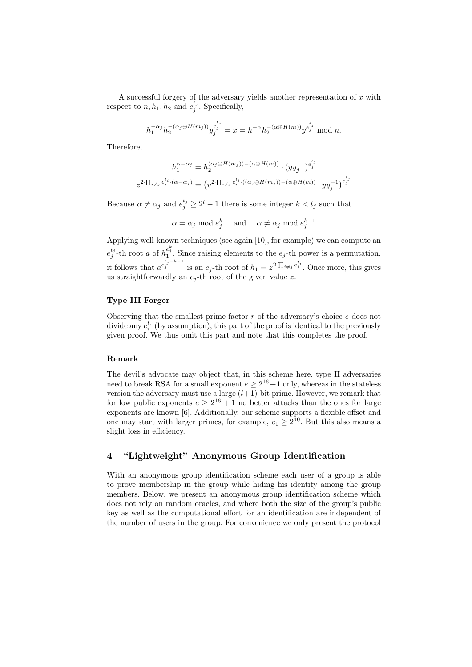A successful forgery of the adversary yields another representation of  $x$  with respect to  $n, h_1, h_2$  and  $e_j^{t_j}$ . Specifically,

$$
h_1^{-\alpha_j} h_2^{-(\alpha_j \oplus H(m_j))} y_j^{e_j^{t_j}} = x = h_1^{-\alpha} h_2^{-(\alpha \oplus H(m))} y^{e_j^{t_j}} \mod n.
$$

Therefore,

$$
h_1^{\alpha - \alpha_j} = h_2^{(\alpha_j \oplus H(m_j)) - (\alpha \oplus H(m))} \cdot (yy_j^{-1})^{e_j^{t_j}}
$$
  

$$
z^{2 \cdot \prod_{i \neq j} e_i^{t_i} \cdot (\alpha - \alpha_j)} = (v^{2 \cdot \prod_{i \neq j} e_i^{t_i} \cdot ((\alpha_j \oplus H(m_j)) - (\alpha \oplus H(m))} \cdot yy_j^{-1})^{e_j^{t_j}}
$$

Because  $\alpha \neq \alpha_j$  and  $e_j^{t_j} \geq 2^l - 1$  there is some integer  $k < t_j$  such that

$$
\alpha = \alpha_j \mod e_j^k \quad \text{ and } \quad \alpha \neq \alpha_j \mod e_j^{k+1}
$$

Applying well-known techniques (see again [10], for example) we can compute an  $e_j^{t_j}$ -th root a of  $h_1^{e_j^k}$ . Since raising elements to the  $e_j$ -th power is a permutation, it follows that  $a^{e^{t_j-k-1}}_j$  is an  $e_j$ -th root of  $h_1 = z^{2 \cdot \prod_{i \neq j} e^{t_i}_i}$ . Once more, this gives us straightforwardly an  $e_i$ -th root of the given value z.

#### Type III Forger

Observing that the smallest prime factor  $r$  of the adversary's choice  $e$  does not divide any  $e_i^{t_i}$  (by assumption), this part of the proof is identical to the previously given proof. We thus omit this part and note that this completes the proof.

## Remark

The devil's advocate may object that, in this scheme here, type II adversaries need to break RSA for a small exponent  $e \geq 2^{16} + 1$  only, whereas in the stateless version the adversary must use a large  $(l+1)$ -bit prime. However, we remark that for low public exponents  $e \geq 2^{16} + 1$  no better attacks than the ones for large exponents are known [6]. Additionally, our scheme supports a flexible offset and one may start with larger primes, for example,  $e_1 \geq 2^{40}$ . But this also means a slight loss in efficiency.

## 4 "Lightweight" Anonymous Group Identification

With an anonymous group identification scheme each user of a group is able to prove membership in the group while hiding his identity among the group members. Below, we present an anonymous group identification scheme which does not rely on random oracles, and where both the size of the group's public key as well as the computational effort for an identification are independent of the number of users in the group. For convenience we only present the protocol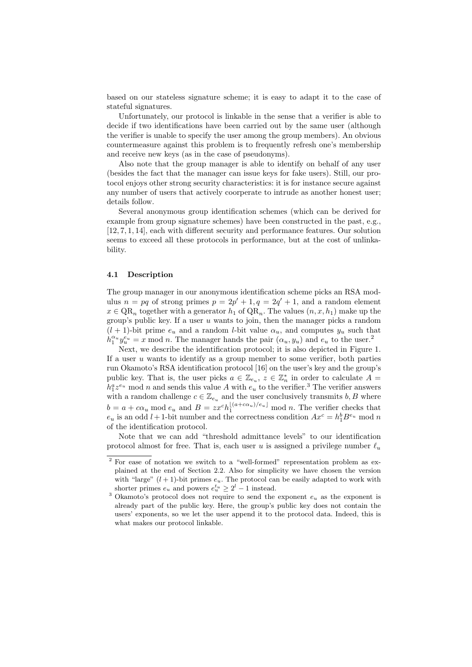based on our stateless signature scheme; it is easy to adapt it to the case of stateful signatures.

Unfortunately, our protocol is linkable in the sense that a verifier is able to decide if two identifications have been carried out by the same user (although the verifier is unable to specify the user among the group members). An obvious countermeasure against this problem is to frequently refresh one's membership and receive new keys (as in the case of pseudonyms).

Also note that the group manager is able to identify on behalf of any user (besides the fact that the manager can issue keys for fake users). Still, our protocol enjoys other strong security characteristics: it is for instance secure against any number of users that actively coorperate to intrude as another honest user; details follow.

Several anonymous group identification schemes (which can be derived for example from group signature schemes) have been constructed in the past, e.g., [12, 7, 1, 14], each with different security and performance features. Our solution seems to exceed all these protocols in performance, but at the cost of unlinkability.

#### 4.1 Description

The group manager in our anonymous identification scheme picks an RSA modulus  $n = pq$  of strong primes  $p = 2p' + 1, q = 2q' + 1$ , and a random element  $x \in QR_n$  together with a generator  $h_1$  of  $QR_n$ . The values  $(n, x, h_1)$  make up the group's public key. If a user  $u$  wants to join, then the manager picks a random  $(l + 1)$ -bit prime  $e_u$  and a random *l*-bit value  $\alpha_u$ , and computes  $y_u$  such that  $h_1^{\alpha_u} y_u^{e_u} = x \mod n$ . The manager hands the pair  $(\alpha_u, y_u)$  and  $e_u$  to the user.<sup>2</sup>

Next, we describe the identification protocol; it is also depicted in Figure 1. If a user  $u$  wants to identify as a group member to some verifier, both parties run Okamoto's RSA identification protocol [16] on the user's key and the group's public key. That is, the user picks  $a \in \mathbb{Z}_{e_u}$ ,  $z \in \mathbb{Z}_n^*$  in order to calculate  $A =$  $h_1^a z^{e_u}$  mod n and sends this value A with  $e_u$  to the verifier.<sup>3</sup> The verifier answers with a random challenge  $c \in \mathbb{Z}_{e_u}$  and the user conclusively transmits  $b, B$  where  $b = a + c\alpha_u \mod e_u$  and  $B = zx^c h_1^{\lfloor (a + c\alpha_u)/e_u \rfloor} \mod n$ . The verifier checks that  $e_u$  is an odd  $l+1$ -bit number and the correctness condition  $Ax^c = h_1^b B^{e_u} \mod n$ of the identification protocol.

Note that we can add "threshold admittance levels" to our identification protocol almost for free. That is, each user u is assigned a privilege number  $\ell_u$ 

 $2$  For ease of notation we switch to a "well-formed" representation problem as explained at the end of Section 2.2. Also for simplicity we have chosen the version with "large"  $(l + 1)$ -bit primes  $e_u$ . The protocol can be easily adapted to work with shorter primes  $e_u$  and powers  $e_u^{t_u} \geq 2^l - 1$  instead.

<sup>&</sup>lt;sup>3</sup> Okamoto's protocol does not require to send the exponent  $e_u$  as the exponent is already part of the public key. Here, the group's public key does not contain the users' exponents, so we let the user append it to the protocol data. Indeed, this is what makes our protocol linkable.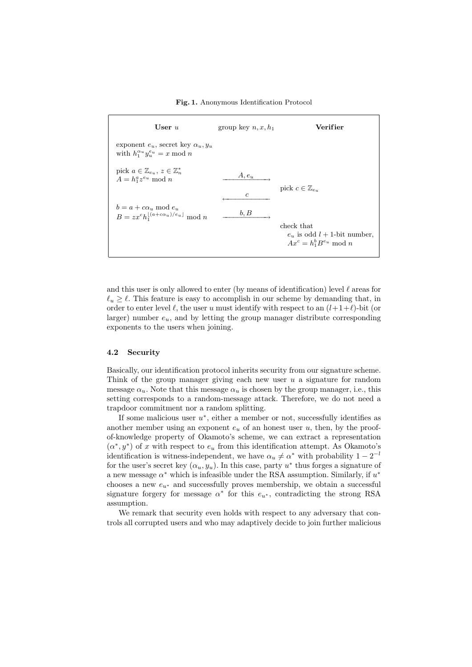#### Fig. 1. Anonymous Identification Protocol



and this user is only allowed to enter (by means of identification) level  $\ell$  areas for  $\ell_u \geq \ell$ . This feature is easy to accomplish in our scheme by demanding that, in order to enter level  $\ell$ , the user u must identify with respect to an  $(l+1+\ell)$ -bit (or larger) number  $e_u$ , and by letting the group manager distribute corresponding exponents to the users when joining.

#### 4.2 Security

Basically, our identification protocol inherits security from our signature scheme. Think of the group manager giving each new user  $u$  a signature for random message  $\alpha_u$ . Note that this message  $\alpha_u$  is chosen by the group manager, i.e., this setting corresponds to a random-message attack. Therefore, we do not need a trapdoor commitment nor a random splitting.

If some malicious user  $u^*$ , either a member or not, successfully identifies as another member using an exponent  $e_u$  of an honest user  $u$ , then, by the proofof-knowledge property of Okamoto's scheme, we can extract a representation  $(\alpha^*, y^*)$  of x with respect to  $e_u$  from this identification attempt. As Okamoto's identification is witness-independent, we have  $\alpha_u \neq \alpha^*$  with probability  $1 - 2^{-l}$ for the user's secret key  $(\alpha_u, y_u)$ . In this case, party  $u^*$  thus forges a signature of a new message  $\alpha^*$  which is infeasible under the RSA assumption. Similarly, if  $u^*$ chooses a new  $e_{u^*}$  and successfully proves membership, we obtain a successful signature forgery for message  $\alpha^*$  for this  $e_{u^*}$ , contradicting the strong RSA assumption.

We remark that security even holds with respect to any adversary that controls all corrupted users and who may adaptively decide to join further malicious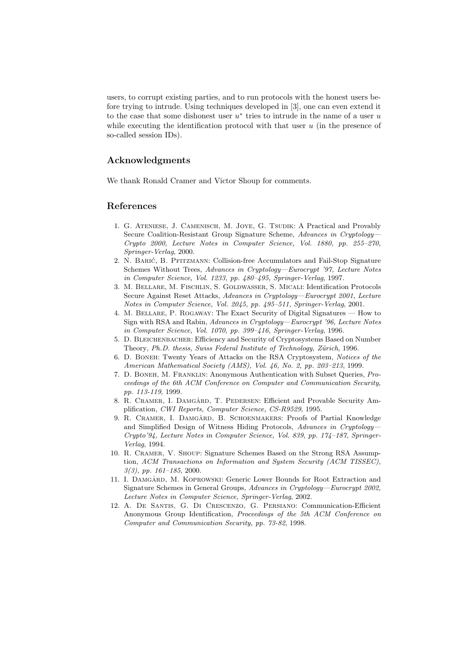users, to corrupt existing parties, and to run protocols with the honest users before trying to intrude. Using techniques developed in [3], one can even extend it to the case that some dishonest user  $u^*$  tries to intrude in the name of a user  $u$ while executing the identification protocol with that user  $u$  (in the presence of so-called session IDs).

## Acknowledgments

We thank Ronald Cramer and Victor Shoup for comments.

## References

- 1. G. ATENIESE, J. CAMENISCH, M. JOYE, G. TSUDIK: A Practical and Provably Secure Coalition-Resistant Group Signature Scheme, Advances in Cryptology— Crypto 2000, Lecture Notes in Computer Science, Vol. 1880, pp. 255–270, Springer-Verlag, 2000.
- 2. N. Baric´, B. Pfitzmann: Collision-free Accumulators and Fail-Stop Signature Schemes Without Trees, Advances in Cryptology—Eurocrypt '97, Lecture Notes in Computer Science, Vol. 1233, pp. 480–495, Springer-Verlag, 1997.
- 3. M. Bellare, M. Fischlin, S. Goldwasser, S. Micali: Identification Protocols Secure Against Reset Attacks, Advances in Cryptology—Eurocrypt 2001, Lecture Notes in Computer Science, Vol. 2045, pp. 495–511, Springer-Verlag, 2001.
- 4. M. Bellare, P. Rogaway: The Exact Security of Digital Signatures How to Sign with RSA and Rabin, Advances in Cryptology—Eurocrypt '96, Lecture Notes in Computer Science, Vol. 1070, pp. 399–416, Springer-Verlag, 1996.
- 5. D. Bleichenbacher: Efficiency and Security of Cryptosystems Based on Number Theory, Ph.D. thesis, Swiss Federal Institute of Technology, Zürich, 1996.
- 6. D. Boneh: Twenty Years of Attacks on the RSA Cryptosystem, Notices of the American Mathematical Society (AMS), Vol. 46, No. 2, pp. 203–213, 1999.
- 7. D. Boneh, M. Franklin: Anonymous Authentication with Subset Queries, Proceedings of the 6th ACM Conference on Computer and Communication Security, pp. 113-119, 1999.
- 8. R. CRAMER, I. DAMGARD, T. PEDERSEN: Efficient and Provable Security Amplification, CWI Reports, Computer Science, CS-R9529, 1995.
- 9. R. CRAMER, I. DAMGARD, B. SCHOENMAKERS: Proofs of Partial Knowledge and Simplified Design of Witness Hiding Protocols, Advances in Cryptology— Crypto'94, Lecture Notes in Computer Science, Vol. 839, pp. 174–187, Springer-Verlag, 1994.
- 10. R. Cramer, V. Shoup: Signature Schemes Based on the Strong RSA Assumption, ACM Transactions on Information and System Security (ACM TISSEC),  $3(3)$ , pp.  $161-185$ , 2000.
- 11. I. DAMGARD, M. KOPROWSKI: Generic Lower Bounds for Root Extraction and Signature Schemes in General Groups, Advances in Cryptology—Eurocrypt 2002, Lecture Notes in Computer Science, Springer-Verlag, 2002.
- 12. A. De Santis, G. Di Crescenzo, G. Persiano: Communication-Efficient Anonymous Group Identification, Proceedings of the 5th ACM Conference on Computer and Communication Security, pp. 73-82, 1998.